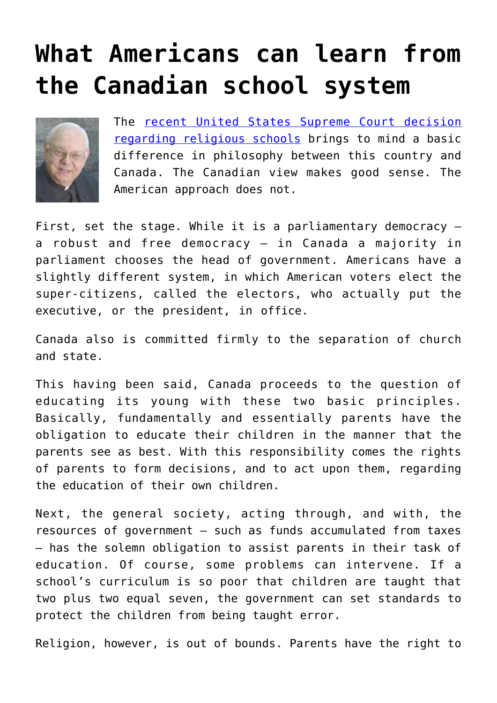## **[What Americans can learn from](https://www.osvnews.com/2020/07/15/what-americans-can-learn-from-the-canadian-school-system/) [the Canadian school system](https://www.osvnews.com/2020/07/15/what-americans-can-learn-from-the-canadian-school-system/)**



The [recent United States Supreme Court decision](https://osvnews.com/2020/06/30/supreme-court-rules-that-states-cannot-discriminate-against-religious-schools-by-withholding-financial-aid/) [regarding religious schools](https://osvnews.com/2020/06/30/supreme-court-rules-that-states-cannot-discriminate-against-religious-schools-by-withholding-financial-aid/) brings to mind a basic difference in philosophy between this country and Canada. The Canadian view makes good sense. The American approach does not.

First, set the stage. While it is a parliamentary democracy  $$ a robust and free democracy — in Canada a majority in parliament chooses the head of government. Americans have a slightly different system, in which American voters elect the super-citizens, called the electors, who actually put the executive, or the president, in office.

Canada also is committed firmly to the separation of church and state.

This having been said, Canada proceeds to the question of educating its young with these two basic principles. Basically, fundamentally and essentially parents have the obligation to educate their children in the manner that the parents see as best. With this responsibility comes the rights of parents to form decisions, and to act upon them, regarding the education of their own children.

Next, the general society, acting through, and with, the resources of government — such as funds accumulated from taxes — has the solemn obligation to assist parents in their task of education. Of course, some problems can intervene. If a school's curriculum is so poor that children are taught that two plus two equal seven, the government can set standards to protect the children from being taught error.

Religion, however, is out of bounds. Parents have the right to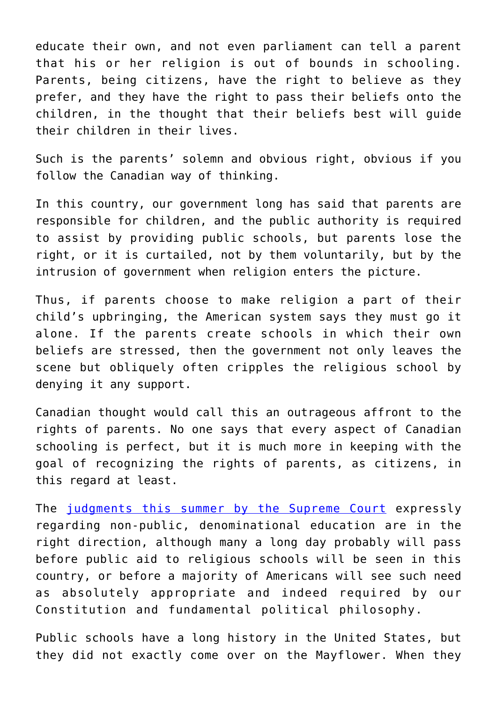educate their own, and not even parliament can tell a parent that his or her religion is out of bounds in schooling. Parents, being citizens, have the right to believe as they prefer, and they have the right to pass their beliefs onto the children, in the thought that their beliefs best will guide their children in their lives.

Such is the parents' solemn and obvious right, obvious if you follow the Canadian way of thinking.

In this country, our government long has said that parents are responsible for children, and the public authority is required to assist by providing public schools, but parents lose the right, or it is curtailed, not by them voluntarily, but by the intrusion of government when religion enters the picture.

Thus, if parents choose to make religion a part of their child's upbringing, the American system says they must go it alone. If the parents create schools in which their own beliefs are stressed, then the government not only leaves the scene but obliquely often cripples the religious school by denying it any support.

Canadian thought would call this an outrageous affront to the rights of parents. No one says that every aspect of Canadian schooling is perfect, but it is much more in keeping with the goal of recognizing the rights of parents, as citizens, in this regard at least.

The [judgments this summer by the Supreme Court](https://osvnews.com/2020/07/08/supreme-court-grants-religious-liberty-victories-to-little-sisters-schools/) expressly regarding non-public, denominational education are in the right direction, although many a long day probably will pass before public aid to religious schools will be seen in this country, or before a majority of Americans will see such need as absolutely appropriate and indeed required by our Constitution and fundamental political philosophy.

Public schools have a long history in the United States, but they did not exactly come over on the Mayflower. When they